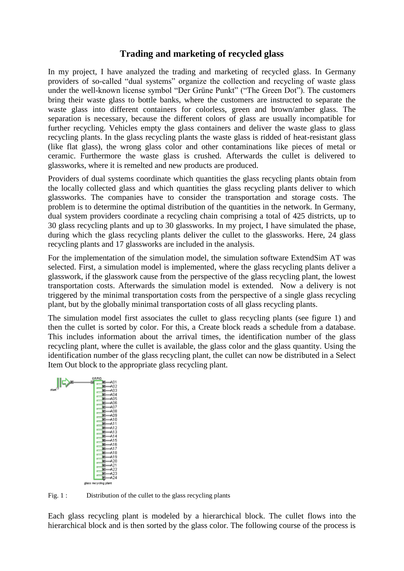## **Trading and marketing of recycled glass**

In my project, I have analyzed the trading and marketing of recycled glass. In Germany providers of so-called "dual systems" organize the collection and recycling of waste glass under the well-known license symbol "Der Grüne Punkt" ("The Green Dot"). The customers bring their waste glass to bottle banks, where the customers are instructed to separate the waste glass into different containers for colorless, green and brown/amber glass. The separation is necessary, because the different colors of glass are usually incompatible for further recycling. Vehicles empty the glass containers and deliver the waste glass to glass recycling plants. In the glass recycling plants the waste glass is ridded of heat-resistant glass (like flat glass), the wrong glass color and other contaminations like pieces of metal or ceramic. Furthermore the waste glass is crushed. Afterwards the cullet is delivered to glassworks, where it is remelted and new products are produced.

Providers of dual systems coordinate which quantities the glass recycling plants obtain from the locally collected glass and which quantities the glass recycling plants deliver to which glassworks. The companies have to consider the transportation and storage costs. The problem is to determine the optimal distribution of the quantities in the network. In Germany, dual system providers coordinate a recycling chain comprising a total of 425 districts, up to 30 glass recycling plants and up to 30 glassworks. In my project, I have simulated the phase, during which the glass recycling plants deliver the cullet to the glassworks. Here, 24 glass recycling plants and 17 glassworks are included in the analysis.

For the implementation of the simulation model, the simulation software ExtendSim AT was selected. First, a simulation model is implemented, where the glass recycling plants deliver a glasswork, if the glasswork cause from the perspective of the glass recycling plant, the lowest transportation costs. Afterwards the simulation model is extended. Now a delivery is not triggered by the minimal transportation costs from the perspective of a single glass recycling plant, but by the globally minimal transportation costs of all glass recycling plants.

The simulation model first associates the cullet to glass recycling plants (see figure 1) and then the cullet is sorted by color. For this, a Create block reads a schedule from a database. This includes information about the arrival times, the identification number of the glass recycling plant, where the cullet is available, the glass color and the glass quantity. Using the identification number of the glass recycling plant, the cullet can now be distributed in a Select Item Out block to the appropriate glass recycling plant.



Fig. 1 : Distribution of the cullet to the glass recycling plants

Each glass recycling plant is modeled by a hierarchical block. The cullet flows into the hierarchical block and is then sorted by the glass color. The following course of the process is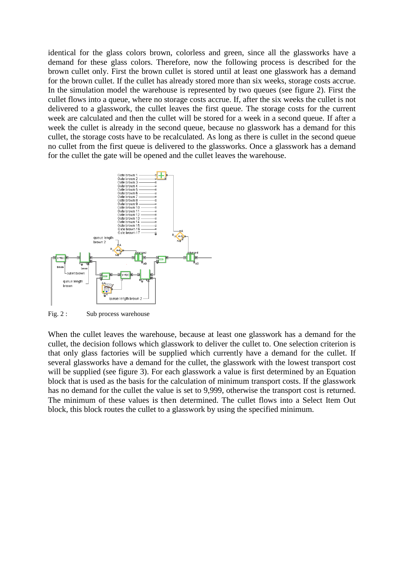identical for the glass colors brown, colorless and green, since all the glassworks have a demand for these glass colors. Therefore, now the following process is described for the brown cullet only. First the brown cullet is stored until at least one glasswork has a demand for the brown cullet. If the cullet has already stored more than six weeks, storage costs accrue. In the simulation model the warehouse is represented by two queues (see figure 2). First the cullet flows into a queue, where no storage costs accrue. If, after the six weeks the cullet is not delivered to a glasswork, the cullet leaves the first queue. The storage costs for the current week are calculated and then the cullet will be stored for a week in a second queue. If after a week the cullet is already in the second queue, because no glasswork has a demand for this cullet, the storage costs have to be recalculated. As long as there is cullet in the second queue no cullet from the first queue is delivered to the glassworks. Once a glasswork has a demand for the cullet the gate will be opened and the cullet leaves the warehouse.



Fig. 2 : Sub process warehouse

When the cullet leaves the warehouse, because at least one glasswork has a demand for the cullet, the decision follows which glasswork to deliver the cullet to. One selection criterion is that only glass factories will be supplied which currently have a demand for the cullet. If several glassworks have a demand for the cullet, the glasswork with the lowest transport cost will be supplied (see figure 3). For each glasswork a value is first determined by an Equation block that is used as the basis for the calculation of minimum transport costs. If the glasswork has no demand for the cullet the value is set to 9,999, otherwise the transport cost is returned. The minimum of these values is then determined. The cullet flows into a Select Item Out block, this block routes the cullet to a glasswork by using the specified minimum.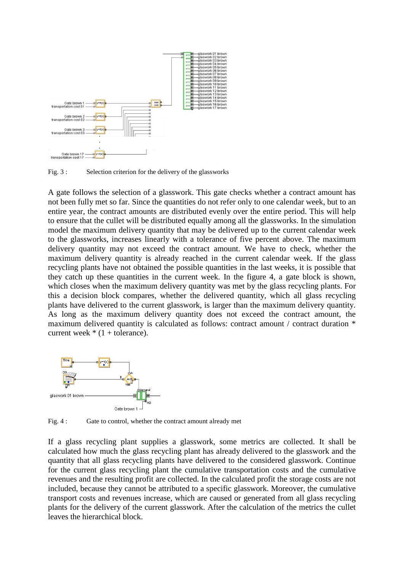

Fig. 3 : Selection criterion for the delivery of the glassworks

A gate follows the selection of a glasswork. This gate checks whether a contract amount has not been fully met so far. Since the quantities do not refer only to one calendar week, but to an entire year, the contract amounts are distributed evenly over the entire period. This will help to ensure that the cullet will be distributed equally among all the glassworks. In the simulation model the maximum delivery quantity that may be delivered up to the current calendar week to the glassworks, increases linearly with a tolerance of five percent above. The maximum delivery quantity may not exceed the contract amount. We have to check, whether the maximum delivery quantity is already reached in the current calendar week. If the glass recycling plants have not obtained the possible quantities in the last weeks, it is possible that they catch up these quantities in the current week. In the figure 4, a gate block is shown, which closes when the maximum delivery quantity was met by the glass recycling plants. For this a decision block compares, whether the delivered quantity, which all glass recycling plants have delivered to the current glasswork, is larger than the maximum delivery quantity. As long as the maximum delivery quantity does not exceed the contract amount, the maximum delivered quantity is calculated as follows: contract amount / contract duration \* current week  $*(1 + \text{tolerance}).$ 



Fig. 4 : Gate to control, whether the contract amount already met

If a glass recycling plant supplies a glasswork, some metrics are collected. It shall be calculated how much the glass recycling plant has already delivered to the glasswork and the quantity that all glass recycling plants have delivered to the considered glasswork. Continue for the current glass recycling plant the cumulative transportation costs and the cumulative revenues and the resulting profit are collected. In the calculated profit the storage costs are not included, because they cannot be attributed to a specific glasswork. Moreover, the cumulative transport costs and revenues increase, which are caused or generated from all glass recycling plants for the delivery of the current glasswork. After the calculation of the metrics the cullet leaves the hierarchical block.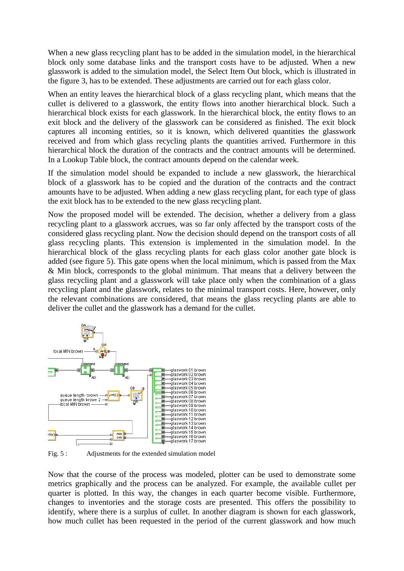When a new glass recycling plant has to be added in the simulation model, in the hierarchical block only some database links and the transport costs have to be adjusted. When a new glasswork is added to the simulation model, the Select Item Out block, which is illustrated in the figure 3, has to be extended. These adjustments are carried out for each glass color.

When an entity leaves the hierarchical block of a glass recycling plant, which means that the cullet is delivered to a glasswork, the entity flows into another hierarchical block. Such a hierarchical block exists for each glasswork. In the hierarchical block, the entity flows to an exit block and the delivery of the glasswork can be considered as finished. The exit block captures all incoming entities, so it is known, which delivered quantities the glasswork received and from which glass recycling plants the quantities arrived. Furthermore in this hierarchical block the duration of the contracts and the contract amounts will be determined. In a Lookup Table block, the contract amounts depend on the calendar week.

If the simulation model should be expanded to include a new glasswork, the hierarchical block of a glasswork has to be copied and the duration of the contracts and the contract amounts have to be adjusted. When adding a new glass recycling plant, for each type of glass the exit block has to be extended to the new glass recycling plant.

Now the proposed model will be extended. The decision, whether a delivery from a glass recycling plant to a glasswork accrues, was so far only affected by the transport costs of the considered glass recycling plant. Now the decision should depend on the transport costs of all glass recycling plants. This extension is implemented in the simulation model. In the hierarchical block of the glass recycling plants for each glass color another gate block is added (see figure 5). This gate opens when the local minimum, which is passed from the Max & Min block, corresponds to the global minimum. That means that a delivery between the glass recycling plant and a glasswork will take place only when the combination of a glass recycling plant and the glasswork, relates to the minimal transport costs. Here, however, only the relevant combinations are considered, that means the glass recycling plants are able to deliver the cullet and the glasswork has a demand for the cullet.



Fig. 5 : Adjustments for the extended simulation model

Now that the course of the process was modeled, plotter can be used to demonstrate some metrics graphically and the process can be analyzed. For example, the available cullet per quarter is plotted. In this way, the changes in each quarter become visible. Furthermore, changes to inventories and the storage costs are presented. This offers the possibility to identify, where there is a surplus of cullet. In another diagram is shown for each glasswork, how much cullet has been requested in the period of the current glasswork and how much